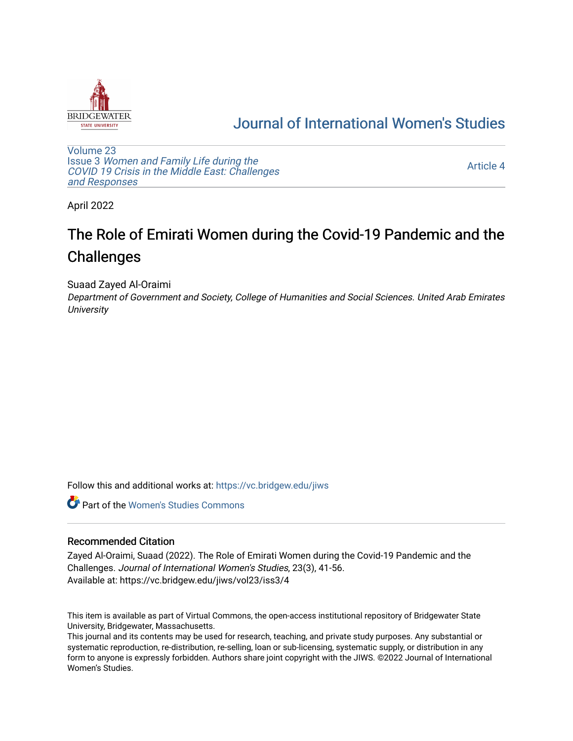

# [Journal of International Women's Studies](https://vc.bridgew.edu/jiws)

[Volume 23](https://vc.bridgew.edu/jiws/vol23) Issue 3 [Women and Family Life during the](https://vc.bridgew.edu/jiws/vol23/iss3)  [COVID 19 Crisis in the Middle East: Challenges](https://vc.bridgew.edu/jiws/vol23/iss3) [and Responses](https://vc.bridgew.edu/jiws/vol23/iss3) 

[Article 4](https://vc.bridgew.edu/jiws/vol23/iss3/4) 

April 2022

# The Role of Emirati Women during the Covid-19 Pandemic and the **Challenges**

Suaad Zayed Al-Oraimi

Department of Government and Society, College of Humanities and Social Sciences. United Arab Emirates **University** 

Follow this and additional works at: [https://vc.bridgew.edu/jiws](https://vc.bridgew.edu/jiws?utm_source=vc.bridgew.edu%2Fjiws%2Fvol23%2Fiss3%2F4&utm_medium=PDF&utm_campaign=PDFCoverPages)

**C** Part of the Women's Studies Commons

#### Recommended Citation

Zayed Al-Oraimi, Suaad (2022). The Role of Emirati Women during the Covid-19 Pandemic and the Challenges. Journal of International Women's Studies, 23(3), 41-56. Available at: https://vc.bridgew.edu/jiws/vol23/iss3/4

This item is available as part of Virtual Commons, the open-access institutional repository of Bridgewater State University, Bridgewater, Massachusetts.

This journal and its contents may be used for research, teaching, and private study purposes. Any substantial or systematic reproduction, re-distribution, re-selling, loan or sub-licensing, systematic supply, or distribution in any form to anyone is expressly forbidden. Authors share joint copyright with the JIWS. ©2022 Journal of International Women's Studies.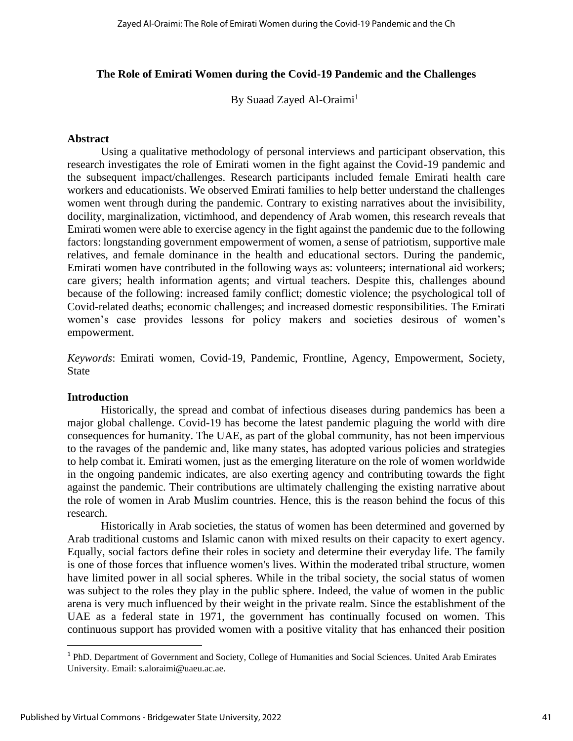# **The Role of Emirati Women during the Covid-19 Pandemic and the Challenges**

By Suaad Zayed Al-Oraimi<sup>1</sup>

# **Abstract**

Using a qualitative methodology of personal interviews and participant observation, this research investigates the role of Emirati women in the fight against the Covid-19 pandemic and the subsequent impact/challenges. Research participants included female Emirati health care workers and educationists. We observed Emirati families to help better understand the challenges women went through during the pandemic. Contrary to existing narratives about the invisibility, docility, marginalization, victimhood, and dependency of Arab women, this research reveals that Emirati women were able to exercise agency in the fight against the pandemic due to the following factors: longstanding government empowerment of women, a sense of patriotism, supportive male relatives, and female dominance in the health and educational sectors. During the pandemic, Emirati women have contributed in the following ways as: volunteers; international aid workers; care givers; health information agents; and virtual teachers. Despite this, challenges abound because of the following: increased family conflict; domestic violence; the psychological toll of Covid-related deaths; economic challenges; and increased domestic responsibilities. The Emirati women's case provides lessons for policy makers and societies desirous of women's empowerment.

*Keywords*: Emirati women, Covid-19, Pandemic, Frontline, Agency, Empowerment, Society, State

#### **Introduction**

Historically, the spread and combat of infectious diseases during pandemics has been a major global challenge. Covid-19 has become the latest pandemic plaguing the world with dire consequences for humanity. The UAE, as part of the global community, has not been impervious to the ravages of the pandemic and, like many states, has adopted various policies and strategies to help combat it. Emirati women, just as the emerging literature on the role of women worldwide in the ongoing pandemic indicates, are also exerting agency and contributing towards the fight against the pandemic. Their contributions are ultimately challenging the existing narrative about the role of women in Arab Muslim countries. Hence, this is the reason behind the focus of this research.

Historically in Arab societies, the status of women has been determined and governed by Arab traditional customs and Islamic canon with mixed results on their capacity to exert agency. Equally, social factors define their roles in society and determine their everyday life. The family is one of those forces that influence women's lives. Within the moderated tribal structure, women have limited power in all social spheres. While in the tribal society, the social status of women was subject to the roles they play in the public sphere. Indeed, the value of women in the public arena is very much influenced by their weight in the private realm. Since the establishment of the UAE as a federal state in 1971, the government has continually focused on women. This continuous support has provided women with a positive vitality that has enhanced their position

<sup>1</sup> PhD. Department of Government and Society, College of Humanities and Social Sciences. United Arab Emirates University. Email: s.aloraimi@uaeu.ac.ae.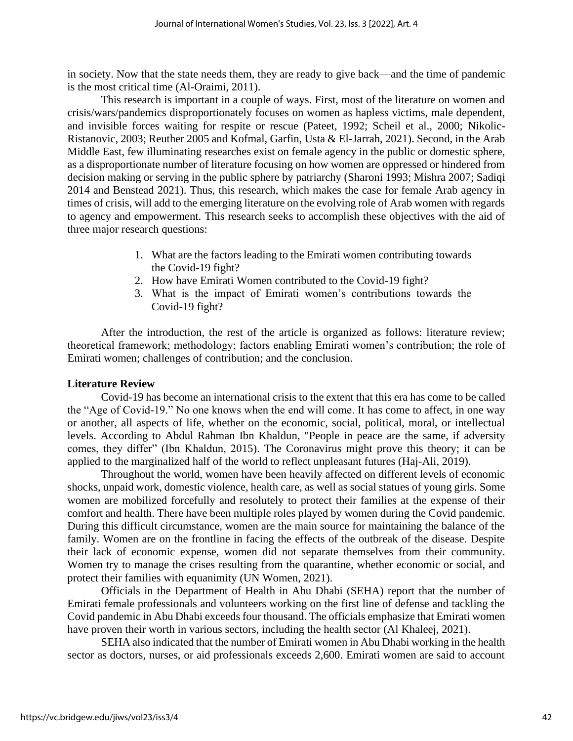in society. Now that the state needs them, they are ready to give back—and the time of pandemic is the most critical time (Al-Oraimi, 2011).

This research is important in a couple of ways. First, most of the literature on women and crisis/wars/pandemics disproportionately focuses on women as hapless victims, male dependent, and invisible forces waiting for respite or rescue (Pateet, 1992; Scheil et al., 2000; Nikolic-Ristanovic, 2003; Reuther 2005 and Kofmal, Garfin, Usta & El-Jarrah, 2021). Second, in the Arab Middle East, few illuminating researches exist on female agency in the public or domestic sphere, as a disproportionate number of literature focusing on how women are oppressed or hindered from decision making or serving in the public sphere by patriarchy (Sharoni 1993; Mishra 2007; Sadiqi 2014 and Benstead 2021). Thus, this research, which makes the case for female Arab agency in times of crisis, will add to the emerging literature on the evolving role of Arab women with regards to agency and empowerment. This research seeks to accomplish these objectives with the aid of three major research questions:

- 1. What are the factors leading to the Emirati women contributing towards the Covid-19 fight?
- 2. How have Emirati Women contributed to the Covid-19 fight?
- 3. What is the impact of Emirati women's contributions towards the Covid-19 fight?

After the introduction, the rest of the article is organized as follows: literature review; theoretical framework; methodology; factors enabling Emirati women's contribution; the role of Emirati women; challenges of contribution; and the conclusion.

#### **Literature Review**

Covid-19 has become an international crisis to the extent that this era has come to be called the "Age of Covid-19." No one knows when the end will come. It has come to affect, in one way or another, all aspects of life, whether on the economic, social, political, moral, or intellectual levels. According to Abdul Rahman Ibn Khaldun, "People in peace are the same, if adversity comes, they differ" (Ibn Khaldun, 2015). The Coronavirus might prove this theory; it can be applied to the marginalized half of the world to reflect unpleasant futures (Haj-Ali, 2019).

Throughout the world, women have been heavily affected on different levels of economic shocks, unpaid work, domestic violence, health care, as well as social statues of young girls. Some women are mobilized forcefully and resolutely to protect their families at the expense of their comfort and health. There have been multiple roles played by women during the Covid pandemic. During this difficult circumstance, women are the main source for maintaining the balance of the family. Women are on the frontline in facing the effects of the outbreak of the disease. Despite their lack of economic expense, women did not separate themselves from their community. Women try to manage the crises resulting from the quarantine, whether economic or social, and protect their families with equanimity (UN Women, 2021).

Officials in the Department of Health in Abu Dhabi (SEHA) report that the number of Emirati female professionals and volunteers working on the first line of defense and tackling the Covid pandemic in Abu Dhabi exceeds four thousand. The officials emphasize that Emirati women have proven their worth in various sectors, including the health sector (Al Khaleej, 2021).

SEHA also indicated that the number of Emirati women in Abu Dhabi working in the health sector as doctors, nurses, or aid professionals exceeds 2,600. Emirati women are said to account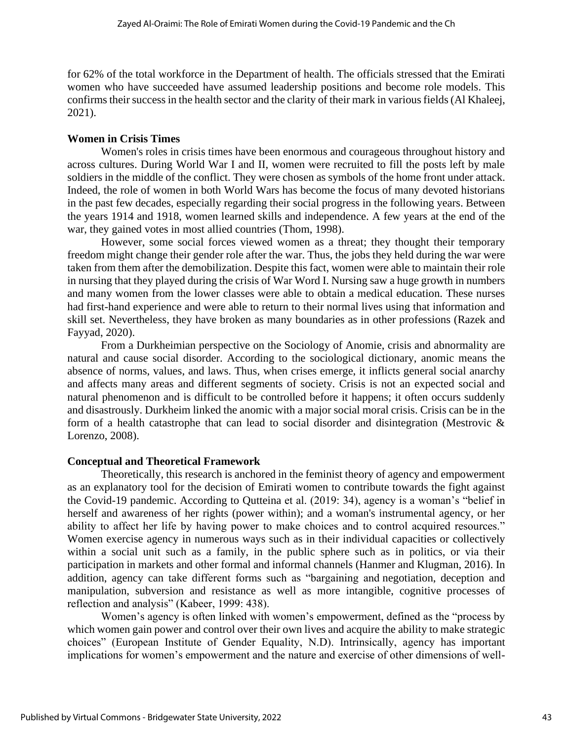for 62% of the total workforce in the Department of health. The officials stressed that the Emirati women who have succeeded have assumed leadership positions and become role models. This confirms their success in the health sector and the clarity of their mark in various fields (Al Khaleej, 2021).

# **Women in Crisis Times**

Women's roles in crisis times have been enormous and courageous throughout history and across cultures. During World War I and II, women were recruited to fill the posts left by male soldiers in the middle of the conflict. They were chosen as symbols of the home front under attack. Indeed, the role of women in both World Wars has become the focus of many devoted historians in the past few decades, especially regarding their social progress in the following years. Between the years 1914 and 1918, women learned skills and independence. A few years at the end of the war, they gained votes in most allied countries (Thom, 1998).

However, some social forces viewed women as a threat; they thought their temporary freedom might change their gender role after the war. Thus, the jobs they held during the war were taken from them after the demobilization. Despite this fact, women were able to maintain their role in nursing that they played during the crisis of War Word I. Nursing saw a huge growth in numbers and many women from the lower classes were able to obtain a medical education. These nurses had first-hand experience and were able to return to their normal lives using that information and skill set. Nevertheless, they have broken as many boundaries as in other professions (Razek and Fayyad, 2020).

From a Durkheimian perspective on the Sociology of Anomie, crisis and abnormality are natural and cause social disorder. According to the sociological dictionary, anomic means the absence of norms, values, and laws. Thus, when crises emerge, it inflicts general social anarchy and affects many areas and different segments of society. Crisis is not an expected social and natural phenomenon and is difficult to be controlled before it happens; it often occurs suddenly and disastrously. Durkheim linked the anomic with a major social moral crisis. Crisis can be in the form of a health catastrophe that can lead to social disorder and disintegration (Mestrovic & Lorenzo, 2008).

# **Conceptual and Theoretical Framework**

Theoretically, this research is anchored in the feminist theory of agency and empowerment as an explanatory tool for the decision of Emirati women to contribute towards the fight against the Covid-19 pandemic. According to Qutteina et al. (2019: 34), agency is a woman's "belief in herself and awareness of her rights (power within); and a woman's instrumental agency, or her ability to affect her life by having power to make choices and to control acquired resources." Women exercise agency in numerous ways such as in their individual capacities or collectively within a social unit such as a family, in the public sphere such as in politics, or via their participation in markets and other formal and informal channels (Hanmer and Klugman, 2016). In addition, agency can take different forms such as "bargaining and negotiation, deception and manipulation, subversion and resistance as well as more intangible, cognitive processes of reflection and analysis" (Kabeer, 1999: 438).

Women's agency is often linked with women's empowerment, defined as the "process by which women gain power and control over their own lives and acquire the ability to make strategic choices" (European Institute of Gender Equality, N.D). Intrinsically, agency has important implications for women's empowerment and the nature and exercise of other dimensions of well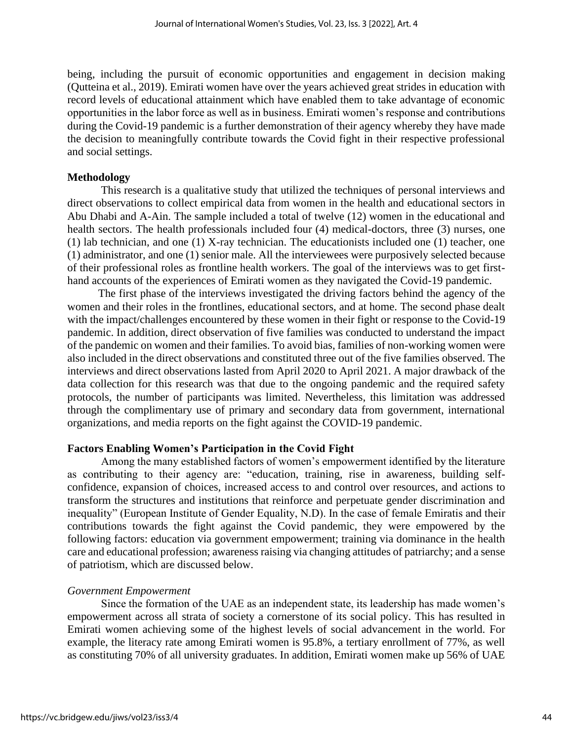being, including the pursuit of economic opportunities and engagement in decision making (Qutteina et al., 2019). Emirati women have over the years achieved great strides in education with record levels of educational attainment which have enabled them to take advantage of economic opportunities in the labor force as well as in business. Emirati women's response and contributions during the Covid-19 pandemic is a further demonstration of their agency whereby they have made the decision to meaningfully contribute towards the Covid fight in their respective professional and social settings.

#### **Methodology**

This research is a qualitative study that utilized the techniques of personal interviews and direct observations to collect empirical data from women in the health and educational sectors in Abu Dhabi and A-Ain. The sample included a total of twelve (12) women in the educational and health sectors. The health professionals included four (4) medical-doctors, three (3) nurses, one (1) lab technician, and one (1) X-ray technician. The educationists included one (1) teacher, one (1) administrator, and one (1) senior male. All the interviewees were purposively selected because of their professional roles as frontline health workers. The goal of the interviews was to get firsthand accounts of the experiences of Emirati women as they navigated the Covid-19 pandemic.

 The first phase of the interviews investigated the driving factors behind the agency of the women and their roles in the frontlines, educational sectors, and at home. The second phase dealt with the impact/challenges encountered by these women in their fight or response to the Covid-19 pandemic. In addition, direct observation of five families was conducted to understand the impact of the pandemic on women and their families. To avoid bias, families of non-working women were also included in the direct observations and constituted three out of the five families observed. The interviews and direct observations lasted from April 2020 to April 2021. A major drawback of the data collection for this research was that due to the ongoing pandemic and the required safety protocols, the number of participants was limited. Nevertheless, this limitation was addressed through the complimentary use of primary and secondary data from government, international organizations, and media reports on the fight against the COVID-19 pandemic.

#### **Factors Enabling Women's Participation in the Covid Fight**

Among the many established factors of women's empowerment identified by the literature as contributing to their agency are: "education, training, rise in awareness, building selfconfidence, expansion of choices, increased access to and control over resources, and actions to transform the structures and institutions that reinforce and perpetuate gender discrimination and inequality" (European Institute of Gender Equality, N.D). In the case of female Emiratis and their contributions towards the fight against the Covid pandemic, they were empowered by the following factors: education via government empowerment; training via dominance in the health care and educational profession; awareness raising via changing attitudes of patriarchy; and a sense of patriotism, which are discussed below.

# *Government Empowerment*

Since the formation of the UAE as an independent state, its leadership has made women's empowerment across all strata of society a cornerstone of its social policy. This has resulted in Emirati women achieving some of the highest levels of social advancement in the world. For example, the literacy rate among Emirati women is 95.8%, a tertiary enrollment of 77%, as well as constituting 70% of all university graduates. In addition, Emirati women make up 56% of UAE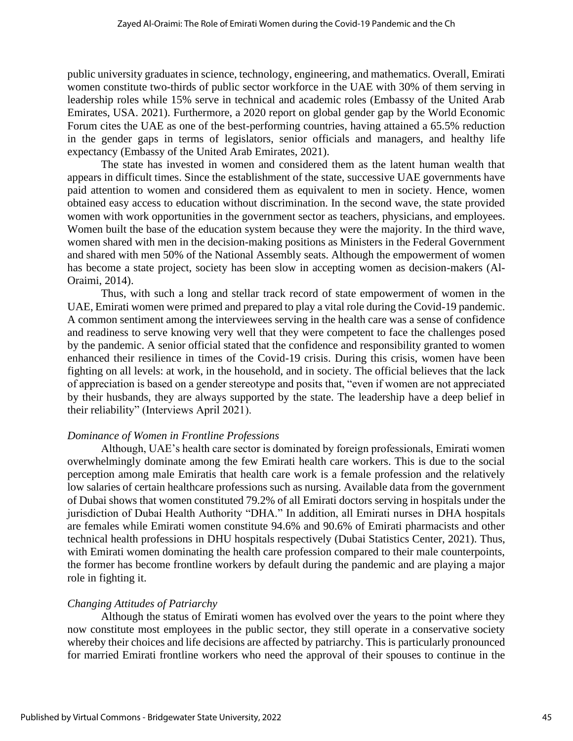public university graduates in science, technology, engineering, and mathematics. Overall, Emirati women constitute two-thirds of public sector workforce in the UAE with 30% of them serving in leadership roles while 15% serve in technical and academic roles (Embassy of the United Arab Emirates, USA. 2021). Furthermore, a 2020 report on global gender gap by the World Economic Forum cites the UAE as one of the best-performing countries, having attained a 65.5% reduction in the gender gaps in terms of legislators, senior officials and managers, and healthy life expectancy (Embassy of the United Arab Emirates, 2021).

The state has invested in women and considered them as the latent human wealth that appears in difficult times. Since the establishment of the state, successive UAE governments have paid attention to women and considered them as equivalent to men in society. Hence, women obtained easy access to education without discrimination. In the second wave, the state provided women with work opportunities in the government sector as teachers, physicians, and employees. Women built the base of the education system because they were the majority. In the third wave, women shared with men in the decision-making positions as Ministers in the Federal Government and shared with men 50% of the National Assembly seats. Although the empowerment of women has become a state project, society has been slow in accepting women as decision-makers (Al-Oraimi, 2014).

Thus, with such a long and stellar track record of state empowerment of women in the UAE, Emirati women were primed and prepared to play a vital role during the Covid-19 pandemic. A common sentiment among the interviewees serving in the health care was a sense of confidence and readiness to serve knowing very well that they were competent to face the challenges posed by the pandemic. A senior official stated that the confidence and responsibility granted to women enhanced their resilience in times of the Covid-19 crisis. During this crisis, women have been fighting on all levels: at work, in the household, and in society. The official believes that the lack of appreciation is based on a gender stereotype and posits that, "even if women are not appreciated by their husbands, they are always supported by the state. The leadership have a deep belief in their reliability" (Interviews April 2021).

# *Dominance of Women in Frontline Professions*

Although, UAE's health care sector is dominated by foreign professionals, Emirati women overwhelmingly dominate among the few Emirati health care workers. This is due to the social perception among male Emiratis that health care work is a female profession and the relatively low salaries of certain healthcare professions such as nursing. Available data from the government of Dubai shows that women constituted 79.2% of all Emirati doctors serving in hospitals under the jurisdiction of Dubai Health Authority "DHA." In addition, all Emirati nurses in DHA hospitals are females while Emirati women constitute 94.6% and 90.6% of Emirati pharmacists and other technical health professions in DHU hospitals respectively (Dubai Statistics Center, 2021). Thus, with Emirati women dominating the health care profession compared to their male counterpoints, the former has become frontline workers by default during the pandemic and are playing a major role in fighting it.

# *Changing Attitudes of Patriarchy*

Although the status of Emirati women has evolved over the years to the point where they now constitute most employees in the public sector, they still operate in a conservative society whereby their choices and life decisions are affected by patriarchy. This is particularly pronounced for married Emirati frontline workers who need the approval of their spouses to continue in the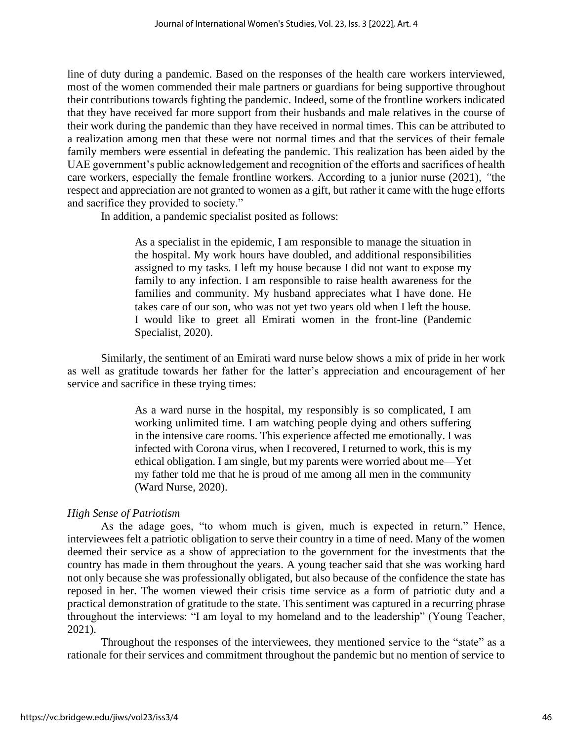line of duty during a pandemic. Based on the responses of the health care workers interviewed, most of the women commended their male partners or guardians for being supportive throughout their contributions towards fighting the pandemic. Indeed, some of the frontline workers indicated that they have received far more support from their husbands and male relatives in the course of their work during the pandemic than they have received in normal times. This can be attributed to a realization among men that these were not normal times and that the services of their female family members were essential in defeating the pandemic. This realization has been aided by the UAE government's public acknowledgement and recognition of the efforts and sacrifices of health care workers, especially the female frontline workers. According to a junior nurse (2021), *"*the respect and appreciation are not granted to women as a gift, but rather it came with the huge efforts and sacrifice they provided to society."

In addition, a pandemic specialist posited as follows:

As a specialist in the epidemic, I am responsible to manage the situation in the hospital. My work hours have doubled, and additional responsibilities assigned to my tasks. I left my house because I did not want to expose my family to any infection. I am responsible to raise health awareness for the families and community. My husband appreciates what I have done. He takes care of our son, who was not yet two years old when I left the house. I would like to greet all Emirati women in the front-line (Pandemic Specialist, 2020).

Similarly, the sentiment of an Emirati ward nurse below shows a mix of pride in her work as well as gratitude towards her father for the latter's appreciation and encouragement of her service and sacrifice in these trying times:

> As a ward nurse in the hospital, my responsibly is so complicated, I am working unlimited time. I am watching people dying and others suffering in the intensive care rooms. This experience affected me emotionally. I was infected with Corona virus, when I recovered, I returned to work, this is my ethical obligation. I am single, but my parents were worried about me—Yet my father told me that he is proud of me among all men in the community (Ward Nurse, 2020).

# *High Sense of Patriotism*

As the adage goes, "to whom much is given, much is expected in return." Hence, interviewees felt a patriotic obligation to serve their country in a time of need. Many of the women deemed their service as a show of appreciation to the government for the investments that the country has made in them throughout the years. A young teacher said that she was working hard not only because she was professionally obligated, but also because of the confidence the state has reposed in her. The women viewed their crisis time service as a form of patriotic duty and a practical demonstration of gratitude to the state. This sentiment was captured in a recurring phrase throughout the interviews: "I am loyal to my homeland and to the leadership" (Young Teacher, 2021).

Throughout the responses of the interviewees, they mentioned service to the "state" as a rationale for their services and commitment throughout the pandemic but no mention of service to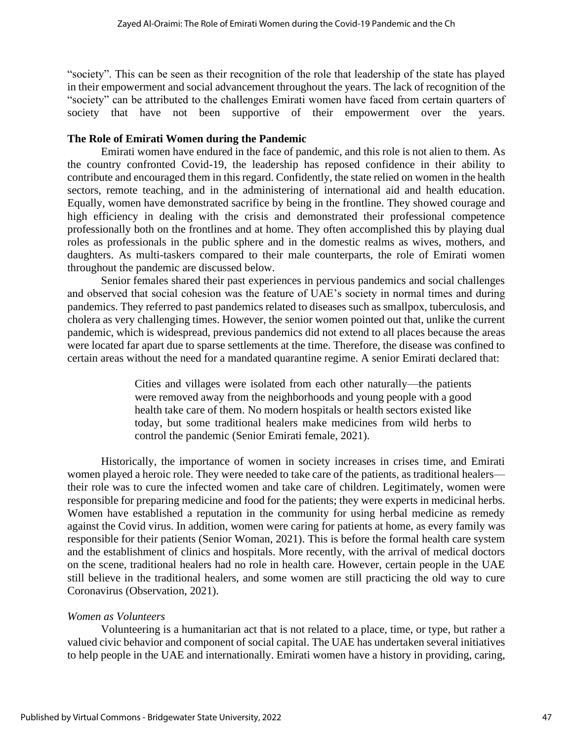"society". This can be seen as their recognition of the role that leadership of the state has played in their empowerment and social advancement throughout the years. The lack of recognition of the "society" can be attributed to the challenges Emirati women have faced from certain quarters of society that have not been supportive of their empowerment over the years.

#### **The Role of Emirati Women during the Pandemic**

Emirati women have endured in the face of pandemic, and this role is not alien to them. As the country confronted Covid-19, the leadership has reposed confidence in their ability to contribute and encouraged them in this regard. Confidently, the state relied on women in the health sectors, remote teaching, and in the administering of international aid and health education. Equally, women have demonstrated sacrifice by being in the frontline. They showed courage and high efficiency in dealing with the crisis and demonstrated their professional competence professionally both on the frontlines and at home. They often accomplished this by playing dual roles as professionals in the public sphere and in the domestic realms as wives, mothers, and daughters. As multi-taskers compared to their male counterparts, the role of Emirati women throughout the pandemic are discussed below.

Senior females shared their past experiences in pervious pandemics and social challenges and observed that social cohesion was the feature of UAE's society in normal times and during pandemics. They referred to past pandemics related to diseases such as smallpox, tuberculosis, and cholera as very challenging times. However, the senior women pointed out that, unlike the current pandemic, which is widespread, previous pandemics did not extend to all places because the areas were located far apart due to sparse settlements at the time. Therefore, the disease was confined to certain areas without the need for a mandated quarantine regime. A senior Emirati declared that:

> Cities and villages were isolated from each other naturally—the patients were removed away from the neighborhoods and young people with a good health take care of them. No modern hospitals or health sectors existed like today, but some traditional healers make medicines from wild herbs to control the pandemic (Senior Emirati female, 2021).

Historically, the importance of women in society increases in crises time, and Emirati women played a heroic role. They were needed to take care of the patients, as traditional healers their role was to cure the infected women and take care of children. Legitimately, women were responsible for preparing medicine and food for the patients; they were experts in medicinal herbs. Women have established a reputation in the community for using herbal medicine as remedy against the Covid virus. In addition, women were caring for patients at home, as every family was responsible for their patients (Senior Woman, 2021). This is before the formal health care system and the establishment of clinics and hospitals. More recently, with the arrival of medical doctors on the scene, traditional healers had no role in health care. However, certain people in the UAE still believe in the traditional healers, and some women are still practicing the old way to cure Coronavirus (Observation, 2021).

# *Women as Volunteers*

Volunteering is a humanitarian act that is not related to a place, time, or type, but rather a valued civic behavior and component of social capital. The UAE has undertaken several initiatives to help people in the UAE and internationally. Emirati women have a history in providing, caring,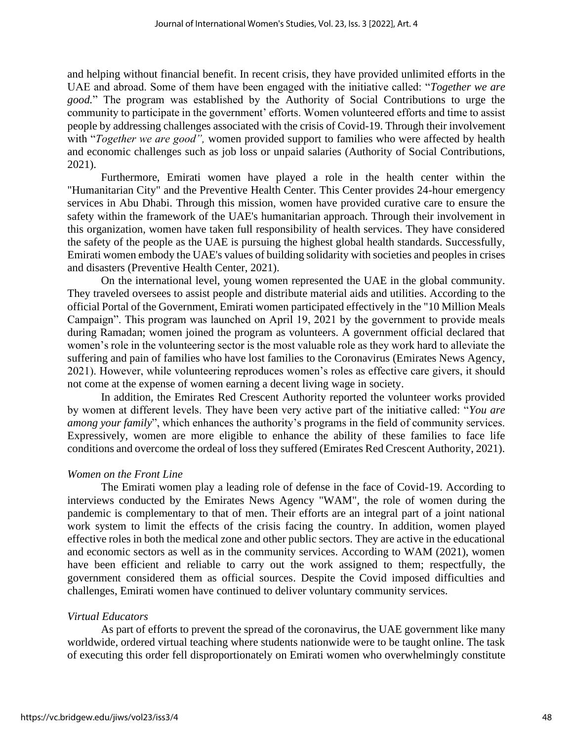and helping without financial benefit. In recent crisis, they have provided unlimited efforts in the UAE and abroad. Some of them have been engaged with the initiative called: "*Together we are good.*" The program was established by the Authority of Social Contributions to urge the community to participate in the government' efforts. Women volunteered efforts and time to assist people by addressing challenges associated with the crisis of Covid-19. Through their involvement with "*Together we are good",* women provided support to families who were affected by health and economic challenges such as job loss or unpaid salaries (Authority of Social Contributions, 2021).

Furthermore, Emirati women have played a role in the health center within the "Humanitarian City" and the Preventive Health Center. This Center provides 24-hour emergency services in Abu Dhabi. Through this mission, women have provided curative care to ensure the safety within the framework of the UAE's humanitarian approach. Through their involvement in this organization, women have taken full responsibility of health services. They have considered the safety of the people as the UAE is pursuing the highest global health standards. Successfully, Emirati women embody the UAE's values of building solidarity with societies and peoples in crises and disasters (Preventive Health Center, 2021).

On the international level, young women represented the UAE in the global community. They traveled oversees to assist people and distribute material aids and utilities. According to the official Portal of the Government, Emirati women participated effectively in the "10 Million Meals Campaign". This program was launched on April 19, 2021 by the government to provide meals during Ramadan; women joined the program as volunteers. A government official declared that women's role in the volunteering sector is the most valuable role as they work hard to alleviate the suffering and pain of families who have lost families to the Coronavirus (Emirates News Agency, 2021). However, while volunteering reproduces women's roles as effective care givers, it should not come at the expense of women earning a decent living wage in society.

In addition, the Emirates Red Crescent Authority reported the volunteer works provided by women at different levels. They have been very active part of the initiative called: "*You are among your family*", which enhances the authority's programs in the field of community services. Expressively, women are more eligible to enhance the ability of these families to face life conditions and overcome the ordeal of loss they suffered (Emirates Red Crescent Authority, 2021).

#### *Women on the Front Line*

The Emirati women play a leading role of defense in the face of Covid-19. According to interviews conducted by the Emirates News Agency "WAM", the role of women during the pandemic is complementary to that of men. Their efforts are an integral part of a joint national work system to limit the effects of the crisis facing the country. In addition, women played effective roles in both the medical zone and other public sectors. They are active in the educational and economic sectors as well as in the community services. According to WAM (2021), women have been efficient and reliable to carry out the work assigned to them; respectfully, the government considered them as official sources. Despite the Covid imposed difficulties and challenges, Emirati women have continued to deliver voluntary community services.

#### *Virtual Educators*

As part of efforts to prevent the spread of the coronavirus, the UAE government like many worldwide, ordered virtual teaching where students nationwide were to be taught online. The task of executing this order fell disproportionately on Emirati women who overwhelmingly constitute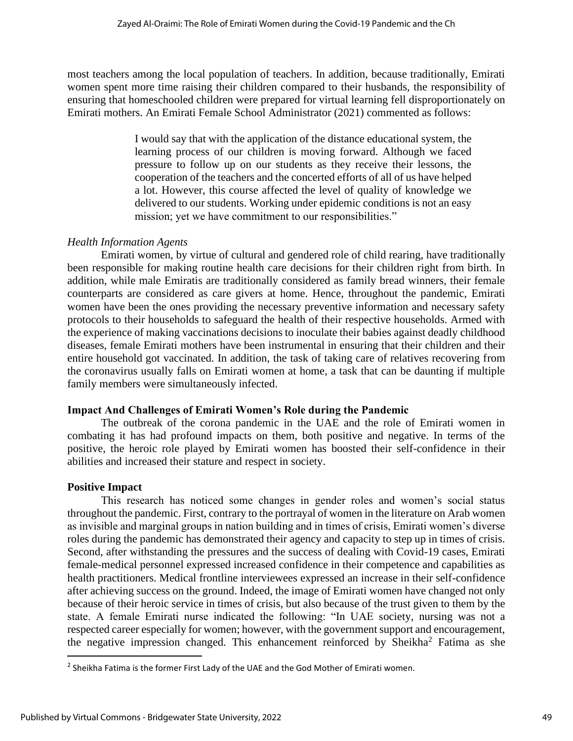most teachers among the local population of teachers. In addition, because traditionally, Emirati women spent more time raising their children compared to their husbands, the responsibility of ensuring that homeschooled children were prepared for virtual learning fell disproportionately on Emirati mothers. An Emirati Female School Administrator (2021) commented as follows:

> I would say that with the application of the distance educational system, the learning process of our children is moving forward. Although we faced pressure to follow up on our students as they receive their lessons, the cooperation of the teachers and the concerted efforts of all of us have helped a lot. However, this course affected the level of quality of knowledge we delivered to our students. Working under epidemic conditions is not an easy mission; yet we have commitment to our responsibilities."

# *Health Information Agents*

Emirati women, by virtue of cultural and gendered role of child rearing, have traditionally been responsible for making routine health care decisions for their children right from birth. In addition, while male Emiratis are traditionally considered as family bread winners, their female counterparts are considered as care givers at home. Hence, throughout the pandemic, Emirati women have been the ones providing the necessary preventive information and necessary safety protocols to their households to safeguard the health of their respective households. Armed with the experience of making vaccinations decisions to inoculate their babies against deadly childhood diseases, female Emirati mothers have been instrumental in ensuring that their children and their entire household got vaccinated. In addition, the task of taking care of relatives recovering from the coronavirus usually falls on Emirati women at home, a task that can be daunting if multiple family members were simultaneously infected.

# **Impact And Challenges of Emirati Women's Role during the Pandemic**

The outbreak of the corona pandemic in the UAE and the role of Emirati women in combating it has had profound impacts on them, both positive and negative. In terms of the positive, the heroic role played by Emirati women has boosted their self-confidence in their abilities and increased their stature and respect in society.

#### **Positive Impact**

This research has noticed some changes in gender roles and women's social status throughout the pandemic. First, contrary to the portrayal of women in the literature on Arab women as invisible and marginal groups in nation building and in times of crisis, Emirati women's diverse roles during the pandemic has demonstrated their agency and capacity to step up in times of crisis. Second, after withstanding the pressures and the success of dealing with Covid-19 cases, Emirati female-medical personnel expressed increased confidence in their competence and capabilities as health practitioners. Medical frontline interviewees expressed an increase in their self-confidence after achieving success on the ground. Indeed, the image of Emirati women have changed not only because of their heroic service in times of crisis, but also because of the trust given to them by the state. A female Emirati nurse indicated the following: "In UAE society, nursing was not a respected career especially for women; however, with the government support and encouragement, the negative impression changed. This enhancement reinforced by Sheikha<sup>2</sup> Fatima as she

 $^2$  Sheikha Fatima is the former First Lady of the UAE and the God Mother of Emirati women.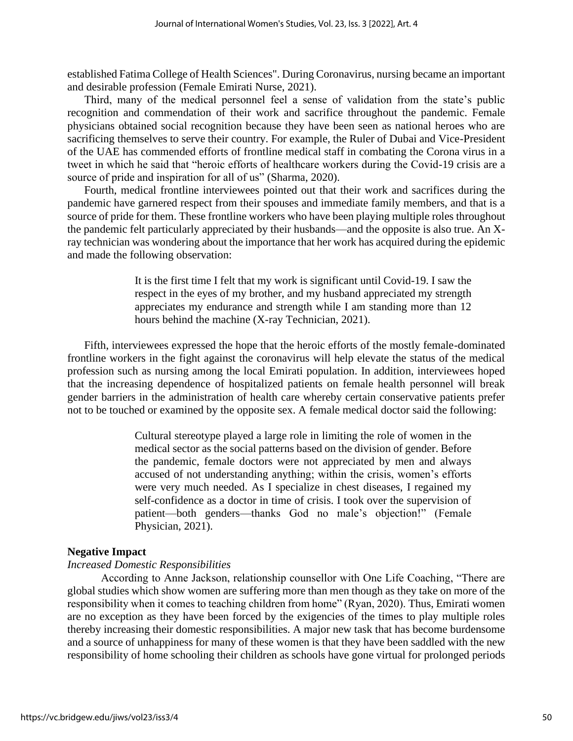established Fatima College of Health Sciences". During Coronavirus, nursing became an important and desirable profession (Female Emirati Nurse, 2021).

Third, many of the medical personnel feel a sense of validation from the state's public recognition and commendation of their work and sacrifice throughout the pandemic. Female physicians obtained social recognition because they have been seen as national heroes who are sacrificing themselves to serve their country. For example, the Ruler of Dubai and Vice-President of the UAE has commended efforts of frontline medical staff in combating the Corona virus in a tweet in which he said that "heroic efforts of healthcare workers during the Covid-19 crisis are a source of pride and inspiration for all of us" (Sharma, 2020).

Fourth, medical frontline interviewees pointed out that their work and sacrifices during the pandemic have garnered respect from their spouses and immediate family members, and that is a source of pride for them. These frontline workers who have been playing multiple roles throughout the pandemic felt particularly appreciated by their husbands—and the opposite is also true. An Xray technician was wondering about the importance that her work has acquired during the epidemic and made the following observation:

> It is the first time I felt that my work is significant until Covid-19. I saw the respect in the eyes of my brother, and my husband appreciated my strength appreciates my endurance and strength while I am standing more than 12 hours behind the machine (X-ray Technician, 2021).

Fifth, interviewees expressed the hope that the heroic efforts of the mostly female-dominated frontline workers in the fight against the coronavirus will help elevate the status of the medical profession such as nursing among the local Emirati population. In addition, interviewees hoped that the increasing dependence of hospitalized patients on female health personnel will break gender barriers in the administration of health care whereby certain conservative patients prefer not to be touched or examined by the opposite sex. A female medical doctor said the following:

> Cultural stereotype played a large role in limiting the role of women in the medical sector as the social patterns based on the division of gender. Before the pandemic, female doctors were not appreciated by men and always accused of not understanding anything; within the crisis, women's efforts were very much needed. As I specialize in chest diseases, I regained my self-confidence as a doctor in time of crisis. I took over the supervision of patient—both genders—thanks God no male's objection!" (Female Physician, 2021).

#### **Negative Impact**

#### *Increased Domestic Responsibilities*

According to Anne Jackson, relationship counsellor with One Life Coaching, "There are global studies which show women are suffering more than men though as they take on more of the responsibility when it comes to teaching children from home" (Ryan, 2020). Thus, Emirati women are no exception as they have been forced by the exigencies of the times to play multiple roles thereby increasing their domestic responsibilities. A major new task that has become burdensome and a source of unhappiness for many of these women is that they have been saddled with the new responsibility of home schooling their children as schools have gone virtual for prolonged periods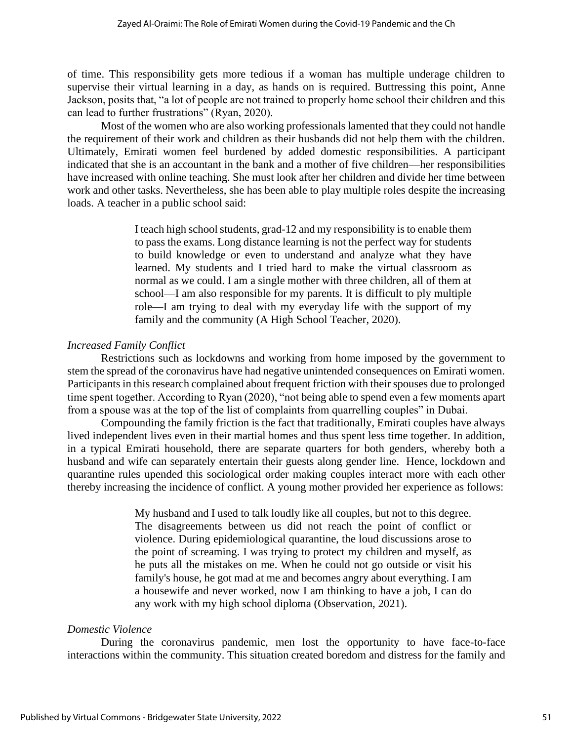of time. This responsibility gets more tedious if a woman has multiple underage children to supervise their virtual learning in a day, as hands on is required. Buttressing this point, Anne Jackson, posits that, "a lot of people are not trained to properly home school their children and this can lead to further frustrations" (Ryan, 2020).

Most of the women who are also working professionals lamented that they could not handle the requirement of their work and children as their husbands did not help them with the children. Ultimately, Emirati women feel burdened by added domestic responsibilities. A participant indicated that she is an accountant in the bank and a mother of five children—her responsibilities have increased with online teaching. She must look after her children and divide her time between work and other tasks. Nevertheless, she has been able to play multiple roles despite the increasing loads. A teacher in a public school said:

> I teach high school students, grad-12 and my responsibility is to enable them to pass the exams. Long distance learning is not the perfect way for students to build knowledge or even to understand and analyze what they have learned. My students and I tried hard to make the virtual classroom as normal as we could. I am a single mother with three children, all of them at school—I am also responsible for my parents. It is difficult to ply multiple role—I am trying to deal with my everyday life with the support of my family and the community (A High School Teacher, 2020).

# *Increased Family Conflict*

Restrictions such as lockdowns and working from home imposed by the government to stem the spread of the coronavirus have had negative unintended consequences on Emirati women. Participants in this research complained about frequent friction with their spouses due to prolonged time spent together. According to Ryan (2020), "not being able to spend even a few moments apart from a spouse was at the top of the list of complaints from quarrelling couples" in Dubai.

Compounding the family friction is the fact that traditionally, Emirati couples have always lived independent lives even in their martial homes and thus spent less time together. In addition, in a typical Emirati household, there are separate quarters for both genders, whereby both a husband and wife can separately entertain their guests along gender line. Hence, lockdown and quarantine rules upended this sociological order making couples interact more with each other thereby increasing the incidence of conflict. A young mother provided her experience as follows:

> My husband and I used to talk loudly like all couples, but not to this degree. The disagreements between us did not reach the point of conflict or violence. During epidemiological quarantine, the loud discussions arose to the point of screaming. I was trying to protect my children and myself, as he puts all the mistakes on me. When he could not go outside or visit his family's house, he got mad at me and becomes angry about everything. I am a housewife and never worked, now I am thinking to have a job, I can do any work with my high school diploma (Observation, 2021).

# *Domestic Violence*

During the coronavirus pandemic, men lost the opportunity to have face-to-face interactions within the community. This situation created boredom and distress for the family and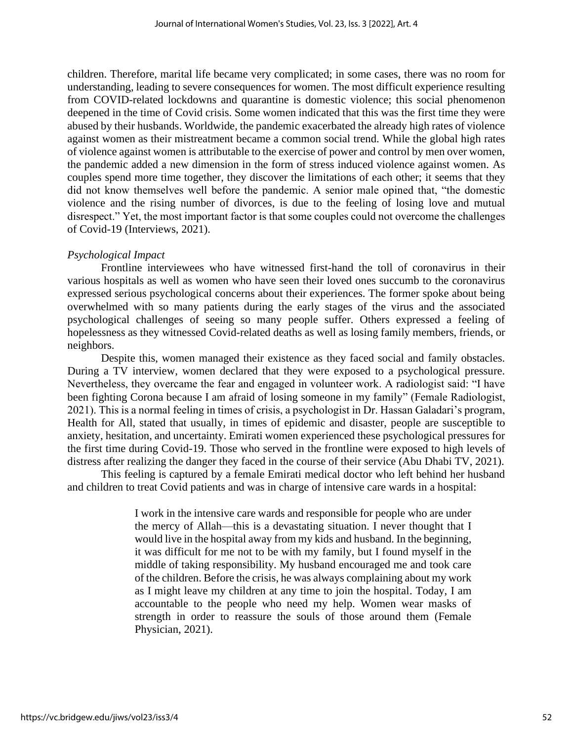children. Therefore, marital life became very complicated; in some cases, there was no room for understanding, leading to severe consequences for women. The most difficult experience resulting from COVID-related lockdowns and quarantine is domestic violence; this social phenomenon deepened in the time of Covid crisis. Some women indicated that this was the first time they were abused by their husbands. Worldwide, the pandemic exacerbated the already high rates of violence against women as their mistreatment became a common social trend. While the global high rates of violence against women is attributable to the exercise of power and control by men over women, the pandemic added a new dimension in the form of stress induced violence against women. As couples spend more time together, they discover the limitations of each other; it seems that they did not know themselves well before the pandemic. A senior male opined that, "the domestic violence and the rising number of divorces, is due to the feeling of losing love and mutual disrespect." Yet, the most important factor is that some couples could not overcome the challenges of Covid-19 (Interviews, 2021).

# *Psychological Impact*

Frontline interviewees who have witnessed first-hand the toll of coronavirus in their various hospitals as well as women who have seen their loved ones succumb to the coronavirus expressed serious psychological concerns about their experiences. The former spoke about being overwhelmed with so many patients during the early stages of the virus and the associated psychological challenges of seeing so many people suffer. Others expressed a feeling of hopelessness as they witnessed Covid-related deaths as well as losing family members, friends, or neighbors.

Despite this, women managed their existence as they faced social and family obstacles. During a TV interview, women declared that they were exposed to a psychological pressure. Nevertheless, they overcame the fear and engaged in volunteer work. A radiologist said: "I have been fighting Corona because I am afraid of losing someone in my family" (Female Radiologist, 2021). This is a normal feeling in times of crisis, a psychologist in Dr. Hassan Galadari's program, Health for All, stated that usually, in times of epidemic and disaster, people are susceptible to anxiety, hesitation, and uncertainty. Emirati women experienced these psychological pressures for the first time during Covid-19. Those who served in the frontline were exposed to high levels of distress after realizing the danger they faced in the course of their service (Abu Dhabi TV, 2021).

This feeling is captured by a female Emirati medical doctor who left behind her husband and children to treat Covid patients and was in charge of intensive care wards in a hospital:

> I work in the intensive care wards and responsible for people who are under the mercy of Allah—this is a devastating situation. I never thought that I would live in the hospital away from my kids and husband. In the beginning, it was difficult for me not to be with my family, but I found myself in the middle of taking responsibility. My husband encouraged me and took care of the children. Before the crisis, he was always complaining about my work as I might leave my children at any time to join the hospital. Today, I am accountable to the people who need my help. Women wear masks of strength in order to reassure the souls of those around them (Female Physician, 2021).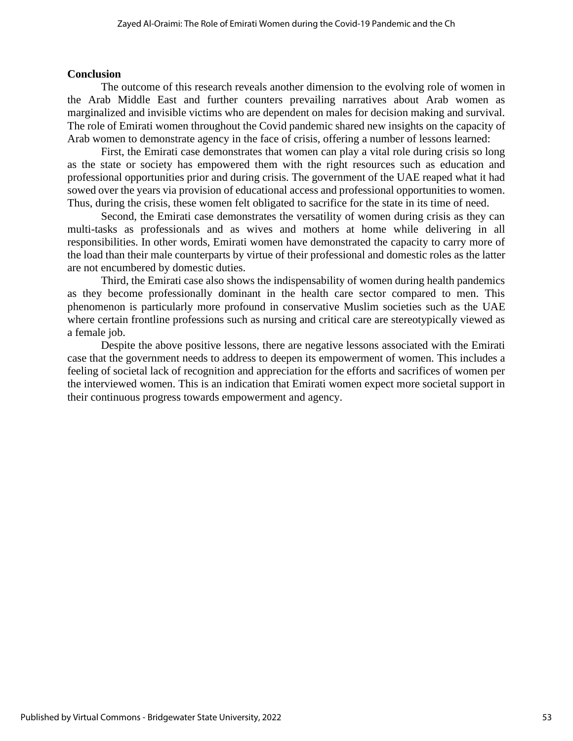#### **Conclusion**

The outcome of this research reveals another dimension to the evolving role of women in the Arab Middle East and further counters prevailing narratives about Arab women as marginalized and invisible victims who are dependent on males for decision making and survival. The role of Emirati women throughout the Covid pandemic shared new insights on the capacity of Arab women to demonstrate agency in the face of crisis, offering a number of lessons learned:

First, the Emirati case demonstrates that women can play a vital role during crisis so long as the state or society has empowered them with the right resources such as education and professional opportunities prior and during crisis. The government of the UAE reaped what it had sowed over the years via provision of educational access and professional opportunities to women. Thus, during the crisis, these women felt obligated to sacrifice for the state in its time of need.

Second, the Emirati case demonstrates the versatility of women during crisis as they can multi-tasks as professionals and as wives and mothers at home while delivering in all responsibilities. In other words, Emirati women have demonstrated the capacity to carry more of the load than their male counterparts by virtue of their professional and domestic roles as the latter are not encumbered by domestic duties.

Third, the Emirati case also shows the indispensability of women during health pandemics as they become professionally dominant in the health care sector compared to men. This phenomenon is particularly more profound in conservative Muslim societies such as the UAE where certain frontline professions such as nursing and critical care are stereotypically viewed as a female job.

Despite the above positive lessons, there are negative lessons associated with the Emirati case that the government needs to address to deepen its empowerment of women. This includes a feeling of societal lack of recognition and appreciation for the efforts and sacrifices of women per the interviewed women. This is an indication that Emirati women expect more societal support in their continuous progress towards empowerment and agency.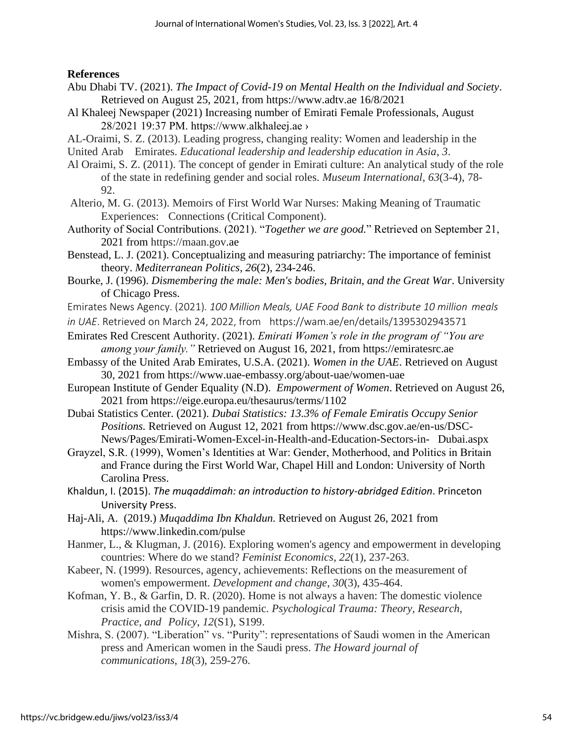**References**

- Abu Dhabi TV. (2021). *The Impact of Covid-19 on Mental Health on the Individual and Society*. Retrieved on August 25, 2021, from [https://www.adtv.ae](https://www.adtv.ae/) 16/8/2021
- Al Khaleej Newspaper (2021) Increasing number of Emirati Female Professionals, August 28/2021 19:37 PM. https://www.alkhaleej.ae ›
- AL-Oraimi, S. Z. (2013). Leading progress, changing reality: Women and leadership in the United Arab Emirates. *Educational leadership and leadership education in Asia*, *3*[.](about:blank)
- Al Oraimi, S. Z. (2011). [The concept of gender in Emirati culture: An analytical study of the role](about:blank)  [of the state in redefining gender and social roles.](about:blank) *[Museum International](about:blank)*[,](about:blank) *[63](about:blank)*[\(3-4\), 78-](about:blank)
	- [92.](about:blank)
- Alterio, M. G. (2013). Memoirs of First World War Nurses: Making Meaning of Traumatic Experiences: Connections (Critical Component).
- Authority of Social Contributions. (2021). "*Together we are good.*" Retrieved on September 21, 2021 from https://maan.gov.ae
- Benstead, L. J. (2021). Conceptualizing and measuring patriarchy: The importance of feminist theory. *Mediterranean Politics*, *26*(2), 234-246.
- Bourke, J. (1996). *Dismembering the male: Men's bodies, Britain, and the Great War*. University of Chicago Press.
- Emirates News Agency. (2021). *100 Million Meals, UAE Food Bank to distribute 10 million meals*
- *in UAE*. Retrieved on March 24, 2022, from https://wam.ae/en/details/1395302943571
- Emirates Red Crescent Authority. (2021). *Emirati Women's role in the program of "You are among your family."* Retrieved on August 16, 2021, from [https://emiratesrc.ae](https://emiratesrc.ae/)
- Embassy of the United Arab Emirates, U.S.A. (2021). *Women in the UAE*. Retrieved on August 30, 2021 from<https://www.uae-embassy.org/about-uae/women-uae>
- European Institute of Gender Equality (N.D). *Empowerment of Women*. Retrieved on August 26, 2021 from<https://eige.europa.eu/thesaurus/terms/1102>
- Dubai Statistics Center. (2021). *Dubai Statistics: 13.3% of Female Emiratis Occupy Senior Positions.* Retrieved on August 12, 2021 from [https://www.dsc.gov.ae/en-us/DSC-](https://www.dsc.gov.ae/en-us/DSC-%09News/Pages/Emirati-Women-Excel-in-Health-and-Education-Sectors-in-%09Dubai.aspx)[News/Pages/Emirati-Women-Excel-in-Health-and-Education-Sectors-in-](https://www.dsc.gov.ae/en-us/DSC-%09News/Pages/Emirati-Women-Excel-in-Health-and-Education-Sectors-in-%09Dubai.aspx) Dubai.aspx
- Grayzel, S.R. (1999), Women's Identities at War: Gender, Motherhood, and Politics in Britain and France during the First World War, Chapel Hill and London: University of North Carolina Press.
- Khaldun, I. (2015). *The muqaddimah: an introduction to history-abridged Edition*. Princeton University Press.
- Haj-Ali, A. (2019.) *Muqaddima Ibn Khaldun.* Retrieved on August 26, 2021 from https://www.linkedin.com/pulse
- Hanmer, L., & Klugman, J. (2016). Exploring women's agency and empowerment in developing countries: Where do we stand? *Feminist Economics*, *22*(1), 237-263.
- Kabeer, N. (1999). Resources, agency, achievements: Reflections on the measurement of women's empowerment. *Development and change*, *30*(3), 435-464.
- Kofman, Y. B., & Garfin, D. R. (2020). Home is not always a haven: The domestic violence crisis amid the COVID-19 pandemic. *Psychological Trauma: Theory, Research, Practice, and Policy*, *12*(S1), S199.
- Mishra, S. (2007). "Liberation" vs. "Purity": representations of Saudi women in the American press and American women in the Saudi press. *The Howard journal of communications*, *18*(3), 259-276.